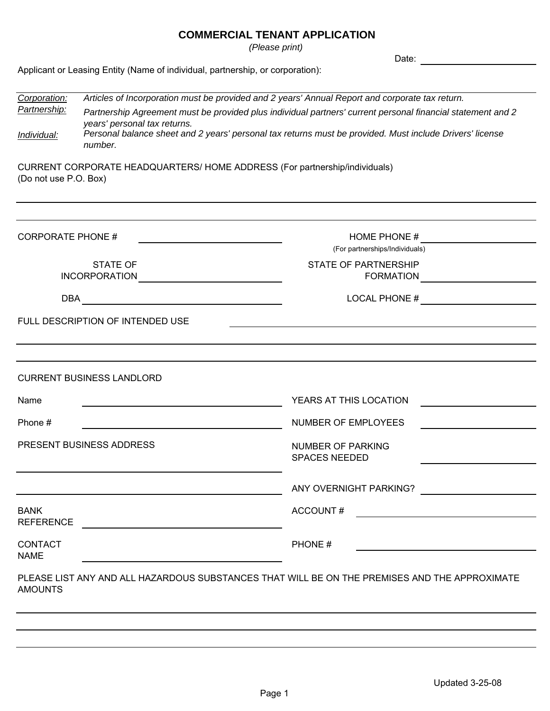*(Please print)*

Date:

Applicant or Leasing Entity (Name of individual, partnership, or corporation):

| Corporation:<br>Partnership:                                                                                                       | Articles of Incorporation must be provided and 2 years' Annual Report and corporate tax return.<br>Partnership Agreement must be provided plus individual partners' current personal financial statement and 2<br>years' personal tax returns. |                                                                            |  |  |
|------------------------------------------------------------------------------------------------------------------------------------|------------------------------------------------------------------------------------------------------------------------------------------------------------------------------------------------------------------------------------------------|----------------------------------------------------------------------------|--|--|
| Individual:                                                                                                                        | Personal balance sheet and 2 years' personal tax returns must be provided. Must include Drivers' license<br>number.                                                                                                                            |                                                                            |  |  |
| (Do not use P.O. Box)                                                                                                              |                                                                                                                                                                                                                                                | CURRENT CORPORATE HEADQUARTERS/ HOME ADDRESS (For partnership/individuals) |  |  |
| <b>CORPORATE PHONE #</b>                                                                                                           |                                                                                                                                                                                                                                                | HOME PHONE #                                                               |  |  |
|                                                                                                                                    |                                                                                                                                                                                                                                                | (For partnerships/Individuals)                                             |  |  |
|                                                                                                                                    | <b>STATE OF</b><br><b>INCORPORATION</b>                                                                                                                                                                                                        | <b>STATE OF PARTNERSHIP</b><br><b>FORMATION</b>                            |  |  |
| <b>DBA</b><br><u> 1980 - Jan Stein Stein Stein Stein Stein Stein Stein Stein Stein Stein Stein Stein Stein Stein Stein Stein S</u> |                                                                                                                                                                                                                                                | LOCAL PHONE #                                                              |  |  |
|                                                                                                                                    | FULL DESCRIPTION OF INTENDED USE                                                                                                                                                                                                               |                                                                            |  |  |
|                                                                                                                                    |                                                                                                                                                                                                                                                |                                                                            |  |  |
|                                                                                                                                    | <b>CURRENT BUSINESS LANDLORD</b>                                                                                                                                                                                                               |                                                                            |  |  |
| Name                                                                                                                               |                                                                                                                                                                                                                                                | YEARS AT THIS LOCATION                                                     |  |  |
| Phone #                                                                                                                            |                                                                                                                                                                                                                                                | NUMBER OF EMPLOYEES                                                        |  |  |
| PRESENT BUSINESS ADDRESS                                                                                                           |                                                                                                                                                                                                                                                | NUMBER OF PARKING<br><b>SPACES NEEDED</b>                                  |  |  |
|                                                                                                                                    |                                                                                                                                                                                                                                                | ANY OVERNIGHT PARKING?                                                     |  |  |
| <b>BANK</b><br><b>REFERENCE</b>                                                                                                    |                                                                                                                                                                                                                                                | <b>ACCOUNT#</b>                                                            |  |  |
| <b>CONTACT</b><br><b>NAME</b>                                                                                                      |                                                                                                                                                                                                                                                | PHONE#                                                                     |  |  |
| PLEASE LIST ANY AND ALL HAZARDOUS SUBSTANCES THAT WILL BE ON THE PREMISES AND THE APPROXIMATE<br><b>AMOUNTS</b>                    |                                                                                                                                                                                                                                                |                                                                            |  |  |